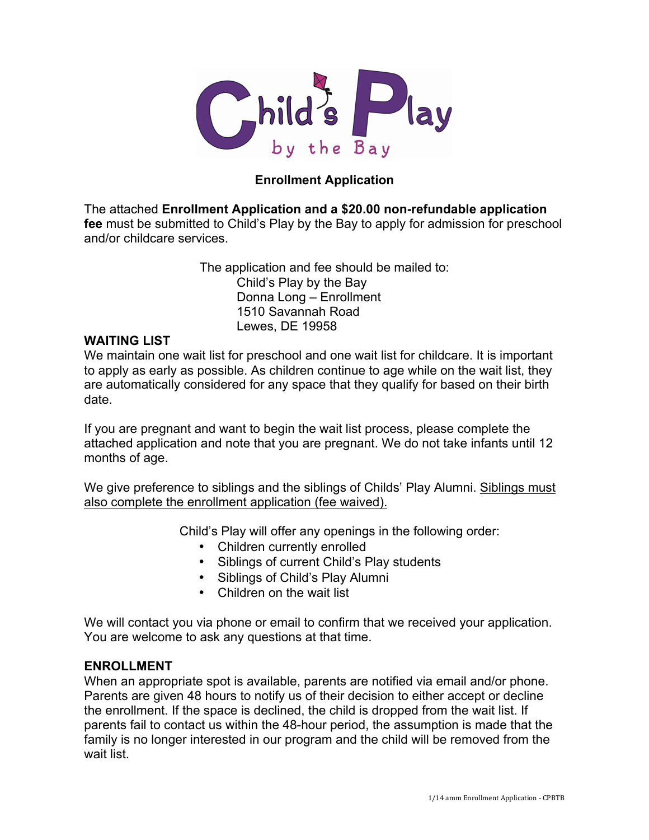

# **Enrollment Application**

The attached **Enrollment Application and a \$20.00 non-refundable application fee** must be submitted to Child's Play by the Bay to apply for admission for preschool and/or childcare services.

> The application and fee should be mailed to: Child's Play by the Bay Donna Long – Enrollment 1510 Savannah Road Lewes, DE 19958

## **WAITING LIST**

We maintain one wait list for preschool and one wait list for childcare. It is important to apply as early as possible. As children continue to age while on the wait list, they are automatically considered for any space that they qualify for based on their birth date.

If you are pregnant and want to begin the wait list process, please complete the attached application and note that you are pregnant. We do not take infants until 12 months of age.

We give preference to siblings and the siblings of Childs' Play Alumni. Siblings must also complete the enrollment application (fee waived).

Child's Play will offer any openings in the following order:

- Children currently enrolled
- Siblings of current Child's Play students
- Siblings of Child's Play Alumni
- Children on the wait list

We will contact you via phone or email to confirm that we received your application. You are welcome to ask any questions at that time.

## **ENROLLMENT**

When an appropriate spot is available, parents are notified via email and/or phone. Parents are given 48 hours to notify us of their decision to either accept or decline the enrollment. If the space is declined, the child is dropped from the wait list. If parents fail to contact us within the 48-hour period, the assumption is made that the family is no longer interested in our program and the child will be removed from the wait list.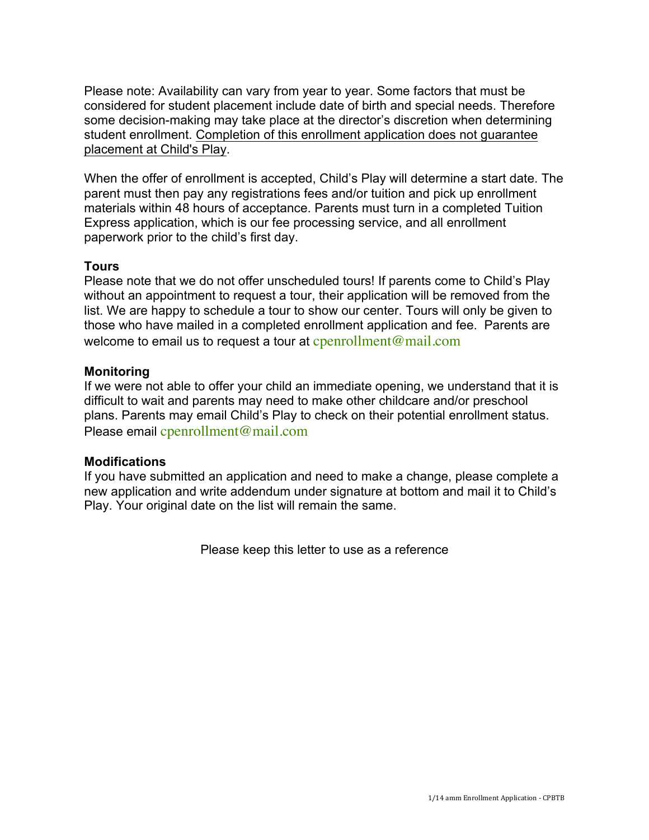Please note: Availability can vary from year to year. Some factors that must be considered for student placement include date of birth and special needs. Therefore some decision-making may take place at the director's discretion when determining student enrollment. Completion of this enrollment application does not guarantee placement at Child's Play.

When the offer of enrollment is accepted, Child's Play will determine a start date. The parent must then pay any registrations fees and/or tuition and pick up enrollment materials within 48 hours of acceptance. Parents must turn in a completed Tuition Express application, which is our fee processing service, and all enrollment paperwork prior to the child's first day.

# **Tours**

Please note that we do not offer unscheduled tours! If parents come to Child's Play without an appointment to request a tour, their application will be removed from the list. We are happy to schedule a tour to show our center. Tours will only be given to those who have mailed in a completed enrollment application and fee. Parents are welcome to email us to request a tour at  $c$  penrollment  $@$  mail.com

# **Monitoring**

If we were not able to offer your child an immediate opening, we understand that it is difficult to wait and parents may need to make other childcare and/or preschool plans. Parents may email Child's Play to check on their potential enrollment status. Please email cpenrollment@mail.com

## **Modifications**

If you have submitted an application and need to make a change, please complete a new application and write addendum under signature at bottom and mail it to Child's Play. Your original date on the list will remain the same.

Please keep this letter to use as a reference